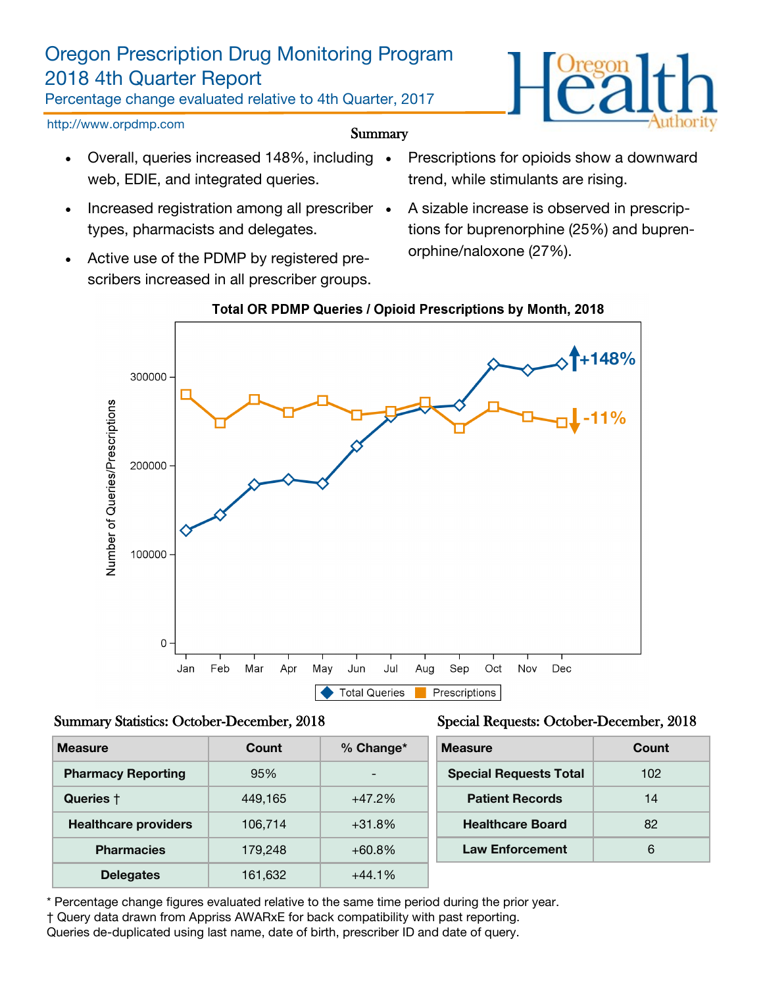## Oregon Prescription Drug Monitoring Program 2018 4th Quarter Report

Percentage change evaluated relative to 4th Quarter, 2017

http://www.orpdmp.com

- Summary
- Overall, queries increased 148%, including web, EDIE, and integrated queries.
- Increased registration among all prescriber types, pharmacists and delegates.
- Active use of the PDMP by registered prescribers increased in all prescriber groups.
- Prescriptions for opioids show a downward trend, while stimulants are rising.
- A sizable increase is observed in prescriptions for buprenorphine (25%) and buprenorphine/naloxone (27%).



### Total OR PDMP Queries / Opioid Prescriptions by Month, 2018

#### Summary Statistics: October-December, 2018

| Special Requests: October-December, 2018 |  |  |  |  |  |  |
|------------------------------------------|--|--|--|--|--|--|
|------------------------------------------|--|--|--|--|--|--|

| <b>Measure</b>              | Count   | $%$ Change*              | <b>Measure</b>                | Count |
|-----------------------------|---------|--------------------------|-------------------------------|-------|
| <b>Pharmacy Reporting</b>   | 95%     | $\overline{\phantom{a}}$ | <b>Special Requests Total</b> | 102   |
| Queries +                   | 449,165 | $+47.2%$                 | <b>Patient Records</b>        | 14    |
| <b>Healthcare providers</b> | 106,714 | $+31.8%$                 | <b>Healthcare Board</b>       | 82    |
| <b>Pharmacies</b>           | 179,248 | $+60.8\%$                | <b>Law Enforcement</b>        | 6     |
| <b>Delegates</b>            | 161,632 | $+44.1%$                 |                               |       |

\* Percentage change figures evaluated relative to the same time period during the prior year.

† Query data drawn from Appriss AWARxE for back compatibility with past reporting.

Queries de-duplicated using last name, date of birth, prescriber ID and date of query.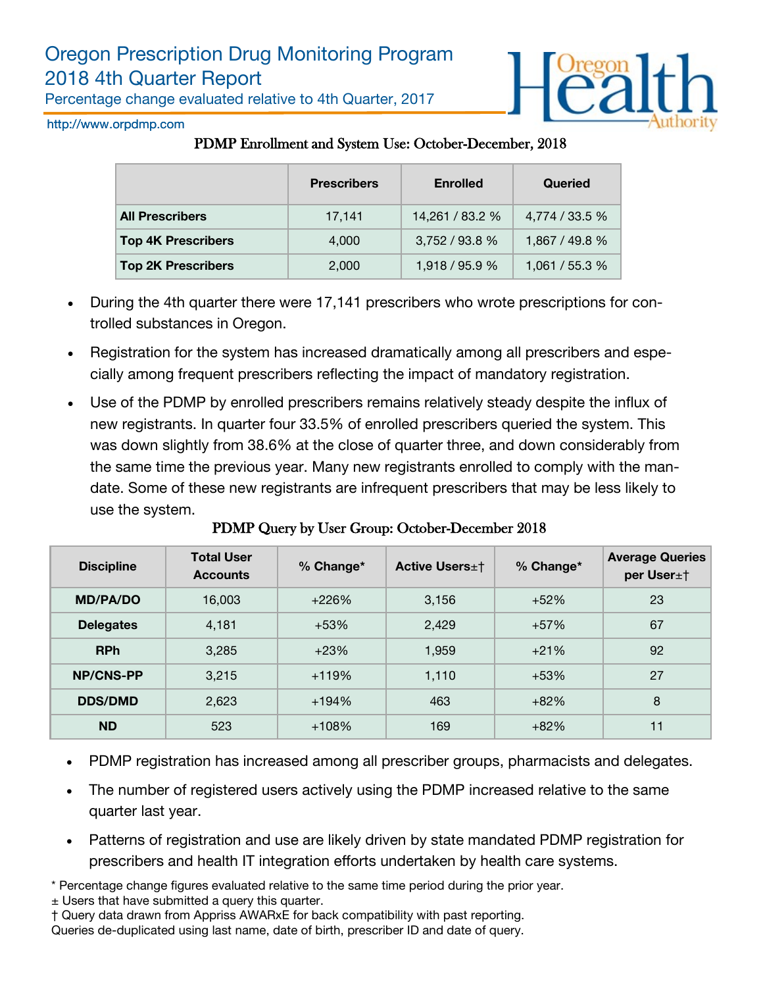Percentage change evaluated relative to 4th Quarter, 2017



http://www.orpdmp.com

### PDMP Enrollment and System Use: October-December, 2018

|                           | <b>Prescribers</b> | <b>Enrolled</b> | Queried        |
|---------------------------|--------------------|-----------------|----------------|
| <b>All Prescribers</b>    | 17,141             | 14,261 / 83.2 % | 4,774 / 33.5 % |
| <b>Top 4K Prescribers</b> | 4,000              | 3,752 / 93.8 %  | 1,867 / 49.8 % |
| <b>Top 2K Prescribers</b> | 2,000              | 1,918 / 95.9 %  | 1,061 / 55.3 % |

- During the 4th quarter there were 17,141 prescribers who wrote prescriptions for controlled substances in Oregon.
- Registration for the system has increased dramatically among all prescribers and especially among frequent prescribers reflecting the impact of mandatory registration.
- Use of the PDMP by enrolled prescribers remains relatively steady despite the influx of new registrants. In quarter four 33.5% of enrolled prescribers queried the system. This was down slightly from 38.6% at the close of quarter three, and down considerably from the same time the previous year. Many new registrants enrolled to comply with the mandate. Some of these new registrants are infrequent prescribers that may be less likely to use the system.

| <b>Discipline</b> | <b>Total User</b><br><b>Accounts</b> | % Change* | <b>Active Users</b> ±† | % Change* | <b>Average Queries</b><br>per User±† |
|-------------------|--------------------------------------|-----------|------------------------|-----------|--------------------------------------|
| <b>MD/PA/DO</b>   | 16,003                               | +226%     | 3,156                  | $+52%$    | 23                                   |
| <b>Delegates</b>  | 4,181                                | $+53%$    | 2,429                  | $+57%$    | 67                                   |
| <b>RPh</b>        | 3,285                                | $+23%$    | 1,959                  | $+21%$    | 92                                   |
| <b>NP/CNS-PP</b>  | 3,215                                | $+119%$   | 1,110                  | $+53%$    | 27                                   |
| <b>DDS/DMD</b>    | 2,623                                | +194%     | 463                    | $+82%$    | 8                                    |
| <b>ND</b>         | 523                                  | $+108%$   | 169                    | $+82%$    | 11                                   |

PDMP Query by User Group: October-December 2018

- PDMP registration has increased among all prescriber groups, pharmacists and delegates.
- The number of registered users actively using the PDMP increased relative to the same quarter last year.
- Patterns of registration and use are likely driven by state mandated PDMP registration for prescribers and health IT integration efforts undertaken by health care systems.

\* Percentage change figures evaluated relative to the same time period during the prior year.

± Users that have submitted a query this quarter.

† Query data drawn from Appriss AWARxE for back compatibility with past reporting. Queries de-duplicated using last name, date of birth, prescriber ID and date of query.